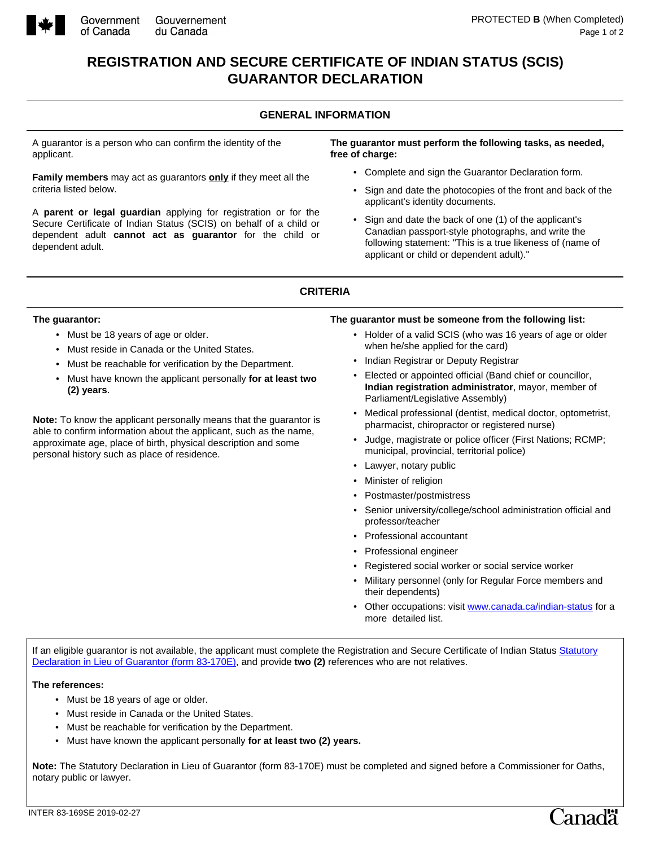

# **REGISTRATION AND SECURE CERTIFICATE OF INDIAN STATUS (SCIS) GUARANTOR DECLARATION**

## **GENERAL INFORMATION**

A guarantor is a person who can confirm the identity of the applicant.

**Family members** may act as guarantors **only** if they meet all the criteria listed below.

A **parent or legal guardian** applying for registration or for the Secure Certificate of Indian Status (SCIS) on behalf of a child or dependent adult **cannot act as guarantor** for the child or dependent adult.

**The guarantor must perform the following tasks, as needed, free of charge:** 

- Complete and sign the Guarantor Declaration form.
- Sign and date the photocopies of the front and back of the applicant's identity documents.
- Sign and date the back of one (1) of the applicant's Canadian passport-style photographs, and write the following statement: "This is a true likeness of (name of applicant or child or dependent adult)."

**CRITERIA**

### **The guarantor:**

- Must be 18 years of age or older.
- Must reside in Canada or the United States.
- Must be reachable for verification by the Department.
- Must have known the applicant personally **for at least two (2) years**.

**Note:** To know the applicant personally means that the guarantor is able to confirm information about the applicant, such as the name, approximate age, place of birth, physical description and some personal history such as place of residence.

### **The guarantor must be someone from the following list:**

- Holder of a valid SCIS (who was 16 years of age or older when he/she applied for the card)
- Indian Registrar or Deputy Registrar
- Elected or appointed official (Band chief or councillor, **Indian registration administrator**, mayor, member of Parliament/Legislative Assembly)
- Medical professional (dentist, medical doctor, optometrist, pharmacist, chiropractor or registered nurse)
- Judge, magistrate or police officer (First Nations; RCMP; municipal, provincial, territorial police)
- Lawyer, notary public
- Minister of religion
- Postmaster/postmistress
- Senior university/college/school administration official and professor/teacher
- Professional accountant
- Professional engineer
- Registered social worker or social service worker
- Military personnel (only for Regular Force members and their dependents)
- Other occupations: visit [www.canada.ca/indian-status](https://www.aadnc-aandc.gc.ca/eng/1100100032374/1100100032378) for a more detailed list.

If an eligible guarantor is not available, the applicant must complete the Registration and Secure Certificate of Indian Status Statutory [Declaration in Lieu of Guarantor \(form 83-170E\),](https://www.aadnc-aandc.gc.ca/eng/1462806841047/1462806896945#chp1) and provide **two (2)** references who are not relatives.

### **The references:**

- Must be 18 years of age or older.
- Must reside in Canada or the United States.
- Must be reachable for verification by the Department.
- Must have known the applicant personally **for at least two (2) years.**

**Note:** The Statutory Declaration in Lieu of Guarantor (form 83-170E) must be completed and signed before a Commissioner for Oaths, notary public or lawyer.